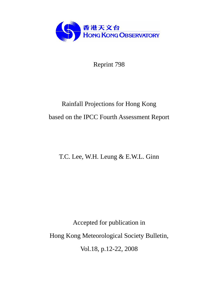

Reprint 798

# Rainfall Projections for Hong Kong based on the IPCC Fourth Assessment Report

T.C. Lee, W.H. Leung & E.W.L. Ginn

Accepted for publication in Hong Kong Meteorological Society Bulletin, Vol.18, p.12-22, 2008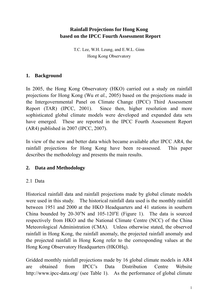## **Rainfall Projections for Hong Kong based on the IPCC Fourth Assessment Report**

T.C. Lee, W.H. Leung, and E.W.L. Ginn Hong Kong Observatory

#### **1. Background**

In 2005, the Hong Kong Observatory (HKO) carried out a study on rainfall projections for Hong Kong (Wu *et al.*, 2005) based on the projections made in the Intergovernmental Panel on Climate Change (IPCC) Third Assessment Report (TAR) (IPCC, 2001). Since then, higher resolution and more sophisticated global climate models were developed and expanded data sets have emerged. These are reported in the IPCC Fourth Assessment Report (AR4) published in 2007 (IPCC, 2007).

In view of the new and better data which became available after IPCC AR4, the rainfall projections for Hong Kong have been re-assessed. This paper describes the methodology and presents the main results.

## **2. Data and Methodology**

## 2.1 Data

Historical rainfall data and rainfall projections made by global climate models were used in this study. The historical rainfall data used is the monthly rainfall between 1951 and 2000 at the HKO Headquarters and 41 stations in southern China bounded by  $20-30^{\circ}N$  and  $105-120^{\circ}E$  (Figure 1). The data is sourced respectively from HKO and the National Climate Centre (NCC) of the China Meteorological Administration (CMA). Unless otherwise stated, the observed rainfall in Hong Kong, the rainfall anomaly, the projected rainfall anomaly and the projected rainfall in Hong Kong refer to the corresponding values at the Hong Kong Observatory Headquarters (HKOHq).

Gridded monthly rainfall projections made by 16 global climate models in AR4 are obtained from IPCC's Data Distribution Centre Website http://www.ipcc-data.org/ (see Table 1). As the performance of global climate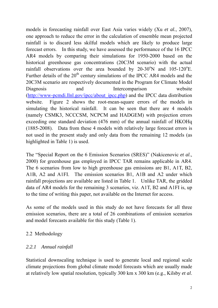models in forecasting rainfall over East Asia varies widely (Xu *et al.*, 2007), one approach to reduce the error in the calculation of ensemble mean projected rainfall is to discard less skilful models which are likely to produce large forecast errors. In this study, we have assessed the performance of the 16 IPCC AR4 models by comparing their simulations for 1950-2000 based on the historical greenhouse gas concentrations (20C3M scenario) with the actual rainfall observations over the area bounded by  $20-30^{\circ}N$  and  $105-120^{\circ}E$ . Further details of the  $20<sup>th</sup>$  century simulations of the IPCC AR4 models and the 20C3M scenario are respectively documented in the Program for Climate Model Diagnosis and Intercomparison website (http://www-pcmdi.llnl.gov/ipcc/about\_ipcc.php) and the IPCC data distribution website. Figure 2 shows the root-mean-square errors of the models in simulating the historical rainfall. It can be seen that there are 4 models (namely CSMK3, NCCCSM, NCPCM and HADGEM) with projection errors exceeding one standard deviation (476 mm) of the annual rainfall of HKOHq (1885-2008). Data from these 4 models with relatively large forecast errors is not used in the present study and only data from the remaining 12 models (as highlighted in Table 1) is used.

The "Special Report on the 6 Emission Scenarios (SRES)" (Nakicenovic *et al*., 2000) for greenhouse gas employed in IPCC TAR remains applicable in AR4. The 6 scenarios from low to high greenhouse gas emissions are B1, A1T, B2, A1B, A2 and A1FI. The emission scenarios B1, A1B and A2 under which rainfall projections are available are listed in Table 1. Unlike TAR, the gridded data of AR4 models for the remaining 3 scenarios, viz. A1T, B2 and A1FI is, up to the time of writing this paper, not available on the Internet for access.

As some of the models used in this study do not have forecasts for all three emission scenarios, there are a total of 26 combinations of emission scenarios and model forecasts available for this study (Table 1).

## 2.2 Methodology

## *2.2.1 Annual rainfall*

Statistical downscaling technique is used to generate local and regional scale climate projections from global climate model forecasts which are usually made at relatively low spatial resolution, typically 300 km x 300 km (e.g., Kilsby *et al*.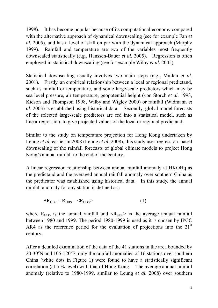1998). It has become popular because of its computational economy compared with the alternative approach of dynamical downscaling (see for example Fan *et al.* 2005), and has a level of skill on par with the dynamical approach (Murphy 1999). Rainfall and temperature are two of the variables most frequently downscaled statistically (e.g., Hanssen-Bauer *et al.* 2005). Regression is often employed in statistical downscaling (see for example Wilby *et al.* 2005).

Statistical downscaling usually involves two main steps (e.g., Mullan *et al*. 2001). Firstly, an empirical relationship between a local or regional predictand, such as rainfall or temperature, and some large-scale predictors which may be sea level pressure, air temperature, geopotential height (von Storch *et al.* 1993, Kidson and Thompson 1998, Wilby and Wigley 2000) or rainfall (Widmann *et al*. 2003) is established using historical data. Secondly, global model forecasts of the selected large-scale predictors are fed into a statistical model, such as linear regression, to give projected values of the local or regional predictand.

Similar to the study on temperature projection for Hong Kong undertaken by Leung *et al.* earlier in 2008 (Leung *et al.* 2008), this study uses regression–based downscaling of the rainfall forecasts of global climate models to project Hong Kong's annual rainfall to the end of the century.

A linear regression relationship between annual rainfall anomaly at HKOHq as the predictand and the averaged annual rainfall anomaly over southern China as the predicator was established using historical data. In this study, the annual rainfall anomaly for any station is defined as :

$$
\Delta R_{\rm OBS} = R_{\rm OBS} - \langle R_{\rm OBS} \rangle \tag{1}
$$

where  $R_{\text{OBS}}$  is the annual rainfall and  $\langle R_{\text{OBS}} \rangle$  is the average annual rainfall between 1980 and 1999. The period 1980-1999 is used as it is chosen by IPCC AR4 as the reference period for the evaluation of projections into the  $21<sup>st</sup>$ century.

After a detailed examination of the data of the 41 stations in the area bounded by  $20-30^{\circ}$ N and  $105-120^{\circ}$ E, only the rainfall anomalies of 16 stations over southern China (white dots in Figure 1) were found to have a statistically significant correlation (at 5 % level) with that of Hong Kong. The average annual rainfall anomaly (relative to 1980-1999, similar to Leung *et al.* 2008) over southern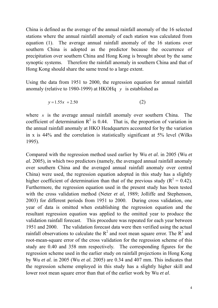China is defined as the average of the annual rainfall anomaly of the 16 selected stations where the annual rainfall anomaly of each station was calculated from equation (1). The average annual rainfall anomaly of the 16 stations over southern China is adopted as the predictor because the occurrence of precipitation over southern China and Hong Kong is brought about by the same synoptic systems. Therefore the rainfall anomaly in southern China and that of Hong Kong should share the same trend to a large extent.

Using the data from 1951 to 2000, the regression equation for annual rainfall anomaly (relative to 1980-1999) at HKOHq *y* is established as

$$
y = 1.55x + 2.50
$$
 (2)

where  $x$  is the average annual rainfall anomaly over southern China. The coefficient of determination  $\mathbb{R}^2$  is 0.44. That is, the proportion of variation in the annual rainfall anomaly at HKO Headquarters accounted for by the variation in x is 44% and the correlation is statistically significant at 5% level (Wilks 1995).

Compared with the regression method used earlier by Wu *et al.* in 2005 (Wu *et al.* 2005), in which two predictors (namely, the averaged annual rainfall anomaly over southern China and the averaged annual rainfall anomaly over central China) were used, the regression equation adopted in this study has a slightly higher coefficient of determination than that of the previous study ( $R^2 = 0.42$ ). Furthermore, the regression equation used in the present study has been tested with the cross validation method (Neter *et al*, 1989; Jolliffe and Stephenson, 2003) for different periods from 1951 to 2000. During cross validation, one year of data is omitted when establishing the regression equation and the resultant regression equation was applied to the omitted year to produce the validation rainfall forecast. This procedure was repeated for each year between 1951 and 2000. The validation forecast data were then verified using the actual rainfall observations to calculate the  $R^2$  and root mean square error. The  $R^2$  and root-mean-square error of the cross validation for the regression scheme of this study are 0.40 and 358 mm respectively. The corresponding figures for the regression scheme used in the earlier study on rainfall projections in Hong Kong by Wu *et al.* in 2005 (Wu *et al.* 2005) are 0.34 and 407 mm. This indicates that the regression scheme employed in this study has a slightly higher skill and lower root mean square error than that of the earlier work by Wu *et al*.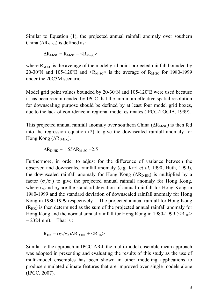Similar to Equation (1), the projected annual rainfall anomaly over southern China ( $\Delta R_{M-SC}$ ) is defined as:

$$
\Delta R_{M-SC} = R_{M-SC} - \langle R_{M-SC} \rangle
$$

where  $R_{M-SC}$  is the average of the model grid point projected rainfall bounded by 20-30<sup>o</sup>N and 105-120<sup>o</sup>E and <R<sub>M-SC</sub>> is the average of R<sub>M-SC</sub> for 1980-1999 under the 20C3M scenario.

Model grid point values bounded by  $20-30^{\circ}$ N and  $105-120^{\circ}$ E were used because it has been recommended by IPCC that the minimum effective spatial resolution for downscaling purpose should be defined by at least four model grid boxes, due to the lack of confidence in regional model estimates (IPCC-TGCIA, 1999).

This projected annual rainfall anomaly over southern China ( $\Delta R_{M-SC}$ ) is then fed into the regression equation (2) to give the downscaled rainfall anomaly for Hong Kong  $(\Delta R_{D-HK})$ .

$$
\Delta R_{\text{D-HK}} = 1.55 \Delta R_{\text{M-SC}} + 2.5
$$

Furthermore, in order to adjust for the difference of variance between the observed and downscaled rainfall anomaly (e.g. Karl *et al*, 1990; Huth, 1999), the downscaled rainfall anomaly for Hong Kong  $(\Delta R_{D-HK})$  is multiplied by a factor ( $\sigma_0/\sigma_d$ ) to give the projected annual rainfall anomaly for Hong Kong, where  $\sigma_0$  and  $\sigma_d$  are the standard deviation of annual rainfall for Hong Kong in 1980-1999 and the standard deviation of downscaled rainfall anomaly for Hong Kong in 1980-1999 respectively. The projected annual rainfall for Hong Kong  $(R<sub>HK</sub>)$  is then determined as the sum of the projected annual rainfall anomaly for Hong Kong and the normal annual rainfall for Hong Kong in 1980-1999 ( $\langle R_{HK} \rangle$  $= 2324$ mm). That is :

$$
R_{HK} = (\sigma_o / \sigma_d) \Delta R_{D-HK} + \langle R_{HK} \rangle
$$

Similar to the approach in IPCC AR4, the multi-model ensemble mean approach was adopted in presenting and evaluating the results of this study as the use of multi-model ensembles has been shown in other modeling applications to produce simulated climate features that are improved over single models alone (IPCC, 2007).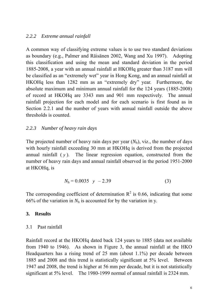#### *2.2.2 Extreme annual rainfall*

A common way of classifying extreme values is to use two standard deviations as boundary (e.g., Palmer and Räisänen 2002, Wang and Xu 1997). Adopting this classification and using the mean and standard deviation in the period 1885-2008, a year with an annual rainfall at HKOHq greater than 3187 mm will be classified as an "extremely wet" year in Hong Kong, and an annual rainfall at HKOHq less than 1282 mm as an "extremely dry" year. Furthermore, the absolute maximum and minimum annual rainfall for the 124 years (1885-2008) of record at HKOHq are 3343 mm and 901 mm respectively. The annual rainfall projection for each model and for each scenario is first found as in Section 2.2.1 and the number of years with annual rainfall outside the above thresholds is counted.

## *2.2.3 Number of heavy rain days*

The projected number of heavy rain days per year  $(N_h)$ , viz., the number of days with hourly rainfall exceeding 30 mm at HKOHq is derived from the projected annual rainfall ( *y* ). The linear regression equation, constructed from the number of heavy rain days and annual rainfall observed in the period 1951-2000 at HKOHq, is

$$
N_h = 0.0035 \quad y \quad -2.39 \tag{3}
$$

The corresponding coefficient of determination  $R^2$  is 0.66, indicating that some 66% of the variation in  $N_h$  is accounted for by the variation in y.

#### **3. Results**

#### 3.1 Past rainfall

Rainfall record at the HKOHq dated back 124 years to 1885 (data not available from 1940 to 1946). As shown in Figure 3, the annual rainfall at the HKO Headquarters has a rising trend of 25 mm (about 1.1%) per decade between 1885 and 2008 and this trend is statistically significant at 5% level. Between 1947 and 2008, the trend is higher at 56 mm per decade, but it is not statistically significant at 5% level. The 1980-1999 normal of annual rainfall is 2324 mm.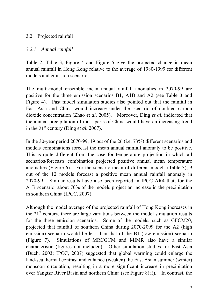## 3.2 Projected rainfall

## *3.2.1 Annual rainfall*

Table 2, Table 3, Figure 4 and Figure 5 give the projected change in mean annual rainfall in Hong Kong relative to the average of 1980-1999 for different models and emission scenarios.

The multi-model ensemble mean annual rainfall anomalies in 2070-99 are positive for the three emission scenarios B1, A1B and A2 (see Table 3 and Figure 4). Past model simulation studies also pointed out that the rainfall in East Asia and China would increase under the scenario of doubled carbon dioxide concentration (Zhao *et al*. 2005). Moreover, Ding *et al*. indicated that the annual precipitation of most parts of China would have an increasing trend in the  $21<sup>st</sup>$  century (Ding *et al.* 2007).

In the 30-year period 2070-99, 19 out of the 26 (i.e. 73%) different scenarios and models combinations forecast the mean annual rainfall anomaly to be positive. This is quite different from the case for temperature projection in which all scenarios/forecasts combination projected positive annual mean temperature anomalies (Figure 6). For the scenario mean of different models (Table 3), 9 out of the 12 models forecast a positive mean annual rainfall anomaly in 2070-99. Similar results have also been reported in IPCC AR4 that, for the A1B scenario, about 70% of the models project an increase in the precipitation in southern China (IPCC, 2007).

Although the model average of the projected rainfall of Hong Kong increases in the  $21<sup>st</sup>$  century, there are large variations between the model simulation results for the three emission scenarios. Some of the models, such as GFCM20, projected that rainfall of southern China during 2070-2099 for the A2 (high emission) scenario would be less than that of the B1 (low emission) scenario (Figure 7). Simulations of MRCGCM and MIMR also have a similar characteristic (figures not included). Other simulation studies for East Asia (Bueh, 2003; IPCC, 2007) suggested that global warming could enlarge the land-sea thermal contrast and enhance (weaken) the East Asian summer (winter) monsoon circulation, resulting in a more significant increase in precipitation over Yangtze River Basin and northern China (see Figure 8(a)). In contrast, the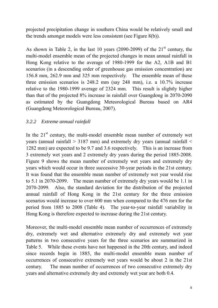projected precipitation change in southern China would be relatively small and the trends amongst models were less consistent (see Figure 8(b)).

As shown in Table 2, in the last 10 years (2090-2099) of the  $21<sup>st</sup>$  century, the multi-model ensemble mean of the projected changes in mean annual rainfall in Hong Kong relative to the average of 1980-1999 for the A2, A1B and B1 scenarios (in a descending order of greenhouse gas emission concentration) are 156.8 mm, 262.9 mm and 325 mm respectively. The ensemble mean of these three emission scenarios is 248.2 mm (say 248 mm), i.e. a 10.7% increase relative to the 1980-1999 average of 2324 mm. This result is slightly higher than that of the projected 8% increase in rainfall over Guangdong in 2070-2090 as estimated by the Guangdong Meteorological Bureau based on AR4 (Guangdong Meteorological Bureau, 2007).

## *3.2.2 Extreme annual rainfall*

In the  $21<sup>st</sup>$  century, the multi-model ensemble mean number of extremely wet years (annual rainfall > 3187 mm) and extremely dry years (annual rainfall < 1282 mm) are expected to be 9.7 and 3.6 respectively. This is an increase from 3 extremely wet years and 2 extremely dry years during the period 1885-2008. Figure 9 shows the mean number of extremely wet years and extremely dry years which would occur in three successive 30-year periods in the 21st century. It was found that the ensemble mean number of extremely wet year would rise to 5.1 in 2070-2099. The mean number of extremely dry years would be 1.1 in 2070-2099. Also, the standard deviation for the distribution of the projected annual rainfall of Hong Kong in the 21st century for the three emission scenarios would increase to over 600 mm when compared to the 476 mm for the period from 1885 to 2008 (Table 4). The year-to-year rainfall variability in Hong Kong is therefore expected to increase during the 21st century.

Moreover, the multi-model ensemble mean number of occurrences of extremely dry, extremely wet and alternative extremely dry and extremely wet year patterns in two consecutive years for the three scenarios are summarized in Table 5. While these events have not happened in the 20th century, and indeed since records begin in 1885, the multi-model ensemble mean number of occurrences of consecutive extremely wet years would be about 2 in the 21st century. The mean number of occurrences of two consecutive extremely dry years and alternative extremely dry and extremely wet year are both 0.4.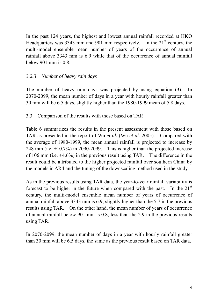In the past 124 years, the highest and lowest annual rainfall recorded at HKO Headquarters was 3343 mm and 901 mm respectively. In the  $21<sup>st</sup>$  century, the multi-model ensemble mean number of years of the occurrence of annual rainfall above 3343 mm is 6.9 while that of the occurrence of annual rainfall below 901 mm is  $0.8$ 

## *3.2.3 Number of heavy rain days*

The number of heavy rain days was projected by using equation (3). In 2070-2099, the mean number of days in a year with hourly rainfall greater than 30 mm will be 6.5 days, slightly higher than the 1980-1999 mean of 5.8 days.

3.3 Comparison of the results with those based on TAR

Table 6 summarizes the results in the present assessment with those based on TAR as presented in the report of Wu *et al.* (Wu *et al.* 2005). Compared with the average of 1980-1999, the mean annual rainfall is projected to increase by 248 mm (i.e. +10.7%) in 2090-2099. This is higher than the projected increase of 106 mm (i.e. +4.6%) in the previous result using TAR. The difference in the result could be attributed to the higher projected rainfall over southern China by the models in AR4 and the tuning of the downscaling method used in the study.

As in the previous results using TAR data, the year-to-year rainfall variability is forecast to be higher in the future when compared with the past. In the  $21<sup>st</sup>$ century, the multi-model ensemble mean number of years of occurrence of annual rainfall above 3343 mm is 6.9, slightly higher than the 5.7 in the previous results using TAR. On the other hand, the mean number of years of occurrence of annual rainfall below 901 mm is 0.8, less than the 2.9 in the previous results using TAR.

In 2070-2099, the mean number of days in a year with hourly rainfall greater than 30 mm will be 6.5 days, the same as the previous result based on TAR data.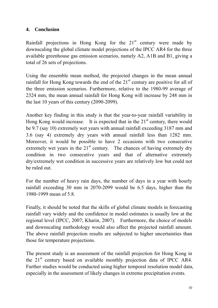## **4. Conclusion**

Rainfall projections in Hong Kong for the  $21<sup>st</sup>$  century were made by downscaling the global climate model projections of the IPCC AR4 for the three available greenhouse gas emission scenarios, namely A2, A1B and B1, giving a total of 26 sets of projections.

Using the ensemble mean method, the projected changes in the mean annual rainfall for Hong Kong towards the end of the  $21<sup>st</sup>$  century are positive for all of the three emission scenarios. Furthermore, relative to the 1980-99 average of 2324 mm, the mean annual rainfall for Hong Kong will increase by 248 mm in the last 10 years of this century (2090-2099).

Another key finding in this study is that the year-to-year rainfall variability in Hong Kong would increase. It is expected that in the  $21<sup>st</sup>$  century, there would be 9.7 (say 10) extremely wet years with annual rainfall exceeding 3187 mm and 3.6 (say 4) extremely dry years with annual rainfall less than 1282 mm. Moreover, it would be possible to have 2 occasions with two consecutive extremely wet years in the  $21<sup>st</sup>$  century. The chances of having extremely dry condition in two consecutive years and that of alternative extremely dry/extremely wet condition in successive years are relatively low but could not be ruled out.

For the number of heavy rain days, the number of days in a year with hourly rainfall exceeding 30 mm in 2070-2099 would be 6.5 days, higher than the 1980-1999 mean of 5.8.

Finally, it should be noted that the skills of global climate models in forecasting rainfall vary widely and the confidence in model estimates is usually low at the regional level (IPCC, 2007; Kharin, 2007). Furthermore, the choice of models and downscaling methodology would also affect the projected rainfall amount. The above rainfall projection results are subjected to higher uncertainties than those for temperature projections.

The present study is an assessment of the rainfall projection for Hong Kong in the 21<sup>st</sup> century based on available monthly projection data of IPCC AR4. Further studies would be conducted using higher temporal resolution model data, especially in the assessment of likely changes in extreme precipitation events.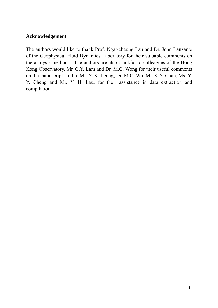### **Acknowledgement**

The authors would like to thank Prof. Ngar-cheung Lau and Dr. John Lanzante of the Geophysical Fluid Dynamics Laboratory for their valuable comments on the analysis method. The authors are also thankful to colleagues of the Hong Kong Observatory, Mr. C.Y. Lam and Dr. M.C. Wong for their useful comments on the manuscript, and to Mr. Y. K. Leung, Dr. M.C. Wu, Mr. K.Y. Chan, Ms. Y. Y. Cheng and Mr. Y. H. Lau, for their assistance in data extraction and compilation.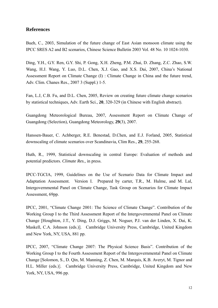#### **References**

Bueh, C., 2003, Simulation of the future change of East Asian monsoon climate using the IPCC SRES A2 and B2 scenarios, Chinese Science Bulletin 2003 Vol. 48 No. 10 1024-1030.

Ding, Y.H., G.Y. Ren, G.Y. Shi, P. Gong, X.H. Zheng, P.M. Zhai, D. Zhang, Z.C. Zhao, S.W. Wang, H.J. Wang, Y. Luo, D.L. Chen, X.J. Gao, and X.S. Dai, 2007, China's National Assessment Report on Climate Change (I) : Climate Change in China and the future trend, Adv. Clim. Chanes Res., 2007 3 (Suppl.) 1-5.

Fan, L.J, C.B. Fu, and D.L. Chen, 2005, Review on creating future climate change scenarios by statistical techniques, Adv. Earth Sci., **20**, 320-329 (in Chinese with English abstract).

Guangdong Meteorological Bureau, 2007, Assessment Report on Climate Change of Guangdong (Selection), Guangdong Meteorology, **29**(3), 2007.

Hanssen-Bauer, C. Achberger, R.E. Benestad, D.Chen, and E.J. Forland, 2005, Statistical downscaling of climate scenarios over Scandinavia, Clim Res., **29**, 255-268.

Huth, R., 1999, Statistical downscaling in central Europe: Evaluation of methods and potential predictors. *Climate Res.,* in press.

IPCC-TGCIA, 1999, Guidelines on the Use of Scenario Data for Climate Impact and Adaptation Assessment. Version I. Prepared by carter, T.R., M. Hulme, and M. Lal, Intergovernmental Panel on Climate Change, Task Group on Scenarios for Climate Impact Assessment, 69pp.

IPCC, 2001, "Climate Change 2001: The Science of Climate Change". Contribution of the Working Group I to the Third Assessment Report of the Intergovernmental Panel on Climate Change [Houghton, J.T., Y. Ding, D.J. Griggs, M. Noguer, P.J. van der Linden, X. Dai, K. Maskell, C.A. Johnson (eds.)]. Cambridge University Press, Cambridge, United Kingdom and New York, NY, USA, 881 pp.

IPCC, 2007, "Climate Change 2007: The Physical Science Basis". Contribution of the Working Group I to the Fourth Assessment Report of the Intergovernmental Panel on Climate Change [Solomon, S., D. Qin, M. Manning, Z. Chen, M. Marquis, K.B. Averyt, M. Tignor and H.L. Miller (eds.)]. Cambridge University Press, Cambridge, United Kingdom and New York, NY, USA, 996 pp.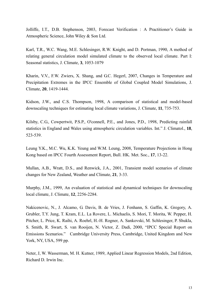Jolliffe, I.T., D.B. Stephenson, 2003, Forecast Verification : A Practitioner's Guide in Atmospheric Science, John Wiley & Son Ltd.

Karl, T.R., W.C. Wang, M.E. Schlesinger, R.W. Knight, and D. Portman, 1990, A method of relating general circulation model simulated climate to the observed local climate. Part I: Seasonal statistics, J. Climate, **3**, 1053-1079

Kharin, V.V., F.W. Zwiers, X. Shang, and G.C. Hegerl, 2007, Changes in Temperature and Precipitation Extremes in the IPCC Ensemble of Global Coupled Model Simulations, J. Climate, **20**, 1419-1444.

Kidson, J.W., and C.S. Thompson, 1998, A comparison of statistical and model-based downscaling techniques for estimating local climate variations, J. Climate, **11**, 735-753.

Kilsby, C.G., Cowpertwit, P.S.P., O'connell, P.E., and Jones, P.D., 1998, Predicting rainfall statistics in England and Wales using atmospheric circulation variables. Int." J. Climatol., **18**, 523-539.

Leung Y.K., M.C. Wu, K.K. Yeung and W.M. Leung, 2008, Temperature Projections in Hong Kong based on IPCC Fourth Assessment Report, Bull. HK. Met. Soc., **17**, 13-22.

Mullan, A.B., Wratt, D.S., and Renwick, J.A., 2001, Transient model scenarios of climate changes for New Zealand, Weather and Climate, **21**, 3-33.

Murphy, J.M., 1999, An evaluation of statistical and dynamical techniques for downscaling local climate, J. Climate, **12**, 2256-2284.

Nakicenovic, N., J. Alcamo, G. Davis, B. de Vries, J. Fenhann, S. Gaffin, K. Gregory, A. Grubler, T.Y. Jung, T. Kram, E.L. La Rovere, L. Michaelis, S. Mori, T. Morita, W. Pepper, H. Pitcher, L. Price, K. Raihi, A. Roehrl, H.-H. Rogner, A. Sankovski, M. Schlesinger, P. Shukla, S. Smith, R. Swart, S. van Rooijen, N. Victor, Z. Dadi, 2000, "IPCC Special Report on Emissions Scenarios." Cambridge University Press, Cambridge, United Kingdom and New York, NY, USA, 599 pp.

Neter, J, W. Wasserman, M. H. Kutner, 1989, Applied Linear Regression Models, 2nd Edition, Richard D. Irwin Inc.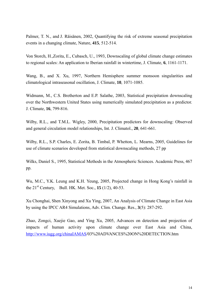Palmer, T. N., and J. Räisänen, 2002, Quantifying the risk of extreme seasonal precipitation events in a changing climate, Nature, **415**, 512-514.

Von Storch, H.,Zorita, E., Cubasch, U., 1993, Downscaling of global climate change estimates to regional scales: An application to Iberian rainfall in wintertime, J. Climate, **6**, 1161-1171.

Wang, B., and X. Xu, 1997, Northern Hemisphere summer monsoon singularities and climatological intraseasonal oscillation, J. Climate, **10**, 1071-1085.

Widmann, M., C.S. Bretherton and E.P. Salathe, 2003, Statistical precipitation downscaling over the Northwestern United States using numerically simulated precipitation as a predictor. J. Climate, **16**, 799-816.

Wilby, R.L., and T.M.L. Wigley, 2000, Precipitation predictors for downscaling: Observed and general circulation model relationships, Int. J. Climatol., **20**, 641-661.

Wilby, R.L., S.P. Charles, E. Zorita, B. Timbal, P. Whetton, L. Mearns, 2005, Guidelines for use of climate scenarios developed from statistical downscaling methods, 27 pp

Wilks, Daniel S., 1995, Statistical Methods in the Atmospheric Sciences. Academic Press, 467 pp.

Wu, M.C., Y.K. Leung and K.H. Yeung, 2005, Projected change in Hong Kong's rainfall in the 21st Century, Bull. HK. Met. Soc., **15** (1/2), 40-53.

Xu Chonghai, Shen Xinyong and Xu Ying, 2007, An Analysis of Climate Change in East Asia by using the IPCC AR4 Simulations, Adv. Clim. Change. Res., **3**(5): 287-292.

Zhao, Zongci, Xuejie Gao, and Ying Xu, 2005, Advances on detection and projection of impacts of human activity upon climate change over East Asia and China, http://www.iugg.org/chinaIAMAS/03%20ADVANCES%20ON%20DETECTION.htm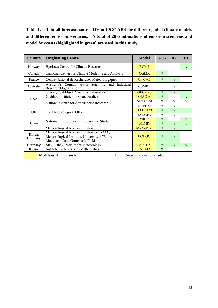**Table 1. Rainfall forecasts sourced from IPCC AR4 for different global climate models and different emission scenarios. A total of 26 combinations of emission scenarios and model forecasts (highlighted in green) are used in this study.**

| <b>Country</b>                                                 | <b>Originating Centre</b>                                                         |  |                   | <b>Model</b>      | A1B           | A2         | B1        |
|----------------------------------------------------------------|-----------------------------------------------------------------------------------|--|-------------------|-------------------|---------------|------------|-----------|
| Norway                                                         | Bjerknes Centre for Climate Research                                              |  |                   | BCM <sub>2</sub>  |               |            | V         |
| Canada                                                         | Canadian Center for Climate Modeling and Analysis                                 |  |                   | <b>CGMR</b>       | $\sqrt{ }$    |            |           |
| France                                                         | Centre National de Recherches Meteorologiques                                     |  |                   | CNCM3             | $\sqrt{}$     | $\sqrt{ }$ |           |
| Australia                                                      | Commonwealth Scientific and<br>Industrial<br>Australia's<br>Research Organization |  |                   | CSMK3             |               | $\sqrt{}$  |           |
|                                                                | Geophysical Fluid Dynamics Laboratory                                             |  |                   | GFCM20            | $\sqrt{}$     | $\sqrt{ }$ | V         |
| <b>USA</b>                                                     | Goddard Institute for Space Studies                                               |  |                   | <b>GIAOM</b>      | $\sqrt{}$     |            | V         |
|                                                                | National Centre for Atmospheric Research                                          |  | <b>NCCCSM</b>     | $\sqrt{}$         | $\mathcal{N}$ | $\sqrt{}$  |           |
|                                                                |                                                                                   |  |                   | <b>NCPCM</b>      | V             | N          |           |
| UK                                                             | UK Meteorological Office                                                          |  |                   | HADCM3            | V             | $\sqrt{ }$ | V         |
|                                                                |                                                                                   |  |                   | <b>HADGEM</b>     | $\sqrt{}$     | $\sqrt{ }$ |           |
|                                                                | National Institute for Environmental Studies<br>Japan                             |  |                   | <b>MIHR</b>       | $\sqrt{}$     |            | V         |
|                                                                |                                                                                   |  |                   | <b>MIMR</b>       | $\sqrt{}$     | $\sqrt{ }$ | $\sqrt{}$ |
|                                                                | Meteorological Research Institute                                                 |  |                   | <b>MRCGCM</b>     | $\sqrt{}$     | $\sqrt{ }$ | $\sqrt{}$ |
| Korea,                                                         | Meteorological Research Institute of KMA,                                         |  | <b>ECHOG</b><br>V |                   | $\sqrt{ }$    |            |           |
| Germany                                                        | Meteorological Institute, University of Bonn,                                     |  |                   |                   |               |            |           |
|                                                                | Model and Data Group at MPI-M                                                     |  |                   |                   |               |            |           |
| Germany                                                        | Max Planck Institute for Meteorology                                              |  |                   | MPEH <sub>5</sub> | V             | $\sqrt{ }$ | V         |
| Russia                                                         | <b>Institute for Numerical Mathematics</b>                                        |  |                   | INCM3             | ٦l            |            |           |
| Models used in this study<br>Emission scenarios available<br>V |                                                                                   |  |                   |                   |               |            |           |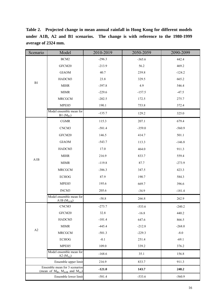**Table 2. Projected change in mean annual rainfall in Hong Kong for different models under A1B, A2 and B1 scenarios. The change is with reference to the 1980-1999 average of 2324 mm.**

| Scenario                                                                      | Model                                      | 2010-2019 | 2050-2059 | 2090-2099 |
|-------------------------------------------------------------------------------|--------------------------------------------|-----------|-----------|-----------|
|                                                                               | BCM2                                       | $-296.3$  | $-365.6$  | 442.4     |
|                                                                               | GFCM20                                     | $-213.9$  | 56.2      | 469.2     |
|                                                                               | <b>GIAOM</b>                               | 40.7      | 239.8     | $-124.2$  |
|                                                                               | HADCM3                                     | 23.8      | 329.5     | 665.2     |
| $\rm B1$                                                                      | <b>MIHR</b>                                | $-397.8$  | 4.9       | 546.4     |
|                                                                               | $\mbox{MIMR}$                              | $-229.6$  | $-157.5$  | $-47.5$   |
|                                                                               | MRCGCM                                     | $-202.5$  | 172.5     | 275.7     |
|                                                                               | MPEH <sub>5</sub>                          | 190.1     | 753.8     | 372.4     |
|                                                                               | Model ensemble mean for<br>$B1(M_{B1})$    | $-135.7$  | 129.2     | 325.0     |
|                                                                               | CGMR                                       | 115.3     | 207.1     | 679.4     |
|                                                                               | CNCM3                                      | $-581.4$  | $-359.0$  | $-560.9$  |
|                                                                               | GFCM20                                     | 146.5     | 414.7     | 501.1     |
|                                                                               | <b>GIAOM</b>                               | $-543.7$  | 113.3     | $-146.8$  |
|                                                                               | HADCM3                                     | 17.0      | 464.0     | 911.3     |
|                                                                               | <b>MIHR</b>                                | 216.9     | 833.7     | 559.4     |
| A1B                                                                           | <b>MIMR</b>                                | $-119.8$  | 87.7      | $-273.9$  |
|                                                                               | <b>MRCGCM</b>                              | $-386.3$  | 347.5     | 423.3     |
|                                                                               | <b>ECHOG</b>                               | 87.9      | 190.7     | 584.3     |
|                                                                               | MPEH5                                      | 195.6     | 669.7     | 396.6     |
|                                                                               | INCM3                                      | 205.6     | $-34.9$   | $-181.4$  |
|                                                                               | Model ensemble mean for<br>A1B $(M_{A1B})$ | $-58.8$   | 266.8     | 262.9     |
| $\mathbf{A2}$                                                                 | CNCM3                                      | $-273.7$  | $-533.6$  | $-240.2$  |
|                                                                               | GFCM20                                     | 32.8      | $-16.8$   | 440.2     |
|                                                                               | HADCM3                                     | $-101.4$  | 647.6     | 866.5     |
|                                                                               | $\mbox{MIMR}$                              | $-445.4$  | $-212.8$  | $-268.0$  |
|                                                                               | <b>MRCGCM</b>                              | $-501.3$  | $-229.3$  | $-8.0$    |
|                                                                               | <b>ECHOG</b>                               | $-0.1$    | 251.4     | $-69.1$   |
|                                                                               | MPEH5                                      | 109.0     | 339.2     | 376.2     |
|                                                                               | Model ensemble mean for<br>A2 $(MA2)$      | $-168.6$  | 35.1      | 156.8     |
| Ensemble upper limit                                                          |                                            | 216.9     | 833.7     | 911.3     |
| Ensemble mean for 3 scenarios<br>(mean of $M_{B1}$ , $M_{A1B}$ and $M_{A2}$ ) |                                            | $-121.0$  | 143.7     | 248.2     |
|                                                                               | Ensemble lower limit                       | $-581.4$  | $-533.6$  | $-560.9$  |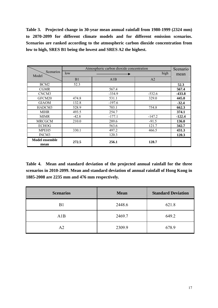**Table 3. Projected change in 30-year mean annual rainfall from 1980-1999 (2324 mm) to 2070-2099 for different climate models and for different emission scenarios. Scenarios are ranked according to the atmospheric carbon dioxide concentration from low to high, SRES B1 being the lowest and SRES A2 the highest.** 

| Scenarios                     | Atmospheric carbon dioxide concentration<br>high<br>low |          |          |          |
|-------------------------------|---------------------------------------------------------|----------|----------|----------|
| Model                         | B1                                                      | A1B      | A2       | mean     |
| BCM <sub>2</sub>              | 52.3                                                    |          |          | 52.3     |
| <b>CGMR</b>                   |                                                         | 567.4    |          | 567.4    |
| CNCM3                         |                                                         | $-334.9$ | $-532.6$ | $-433.8$ |
| GFCM20                        | 474.8                                                   | 531.1    | 329.0    | 445.0    |
| <b>GIAOM</b>                  | 132.8                                                   | $-197.6$ |          | $-32.4$  |
| HADCM3                        | 528.9                                                   | 703.1    | 754.8    | 662.3    |
| <b>MIHR</b>                   | 493.5                                                   | 254.7    |          | 374.1    |
| <b>MIMR</b>                   | $-42.8$                                                 | $-177.1$ | $-147.2$ | $-122.4$ |
| <b>MRCGCM</b>                 | 210.0                                                   | 289.6    | $-91.5$  | 136.0    |
| <b>ECHOG</b>                  |                                                         | 563.6    | 121.7    | 342.7    |
| MPEH <sub>5</sub>             | 330.1                                                   | 497.2    | 466.5    | 431.3    |
| INCM3                         |                                                         | 120.3    |          | 120.3    |
| <b>Model ensemble</b><br>mean | 272.5                                                   | 256.1    | 128.7    |          |

**Table 4. Mean and standard deviation of the projected annual rainfall for the three scenarios in 2010-2099. Mean and standard deviation of annual rainfall of Hong Kong in 1885-2008 are 2235 mm and 476 mm respectively.** 

| <b>Scenarios</b> | <b>Mean</b> | <b>Standard Deviation</b> |
|------------------|-------------|---------------------------|
| B1               | 2448.6      | 621.8                     |
| A1B              | 2469.7      | 649.2                     |
| A <sub>2</sub>   | 2309.9      | 678.9                     |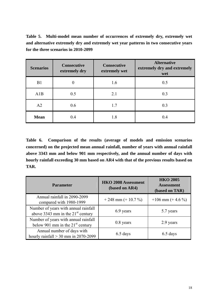**Table 5. Multi-model mean number of occurrences of extremely dry, extremely wet and alternative extremely dry and extremely wet year patterns in two consecutive years for the three scenarios in 2010-2099**

| <b>Scenarios</b> | <b>Consecutive</b><br>extremely dry | <b>Consecutive</b><br>extremely wet | <b>Alternative</b><br>extremely dry and extremely<br>wet |  |
|------------------|-------------------------------------|-------------------------------------|----------------------------------------------------------|--|
| B1               | 0                                   | 1.6                                 | 0.5                                                      |  |
| A1B              | 0.5                                 | 2.1                                 | 0.3                                                      |  |
| A2               | 0.6                                 | 1.7                                 | 0.3                                                      |  |
| <b>Mean</b>      | 0.4                                 | 1.8                                 | 0.4                                                      |  |

**Table 6. Comparison of the results (average of models and emission scenarios concerned) on the projected mean annual rainfall, number of years with annual rainfall above 3343 mm and below 901 mm respectively, and the annual number of days with hourly rainfall exceeding 30 mm based on AR4 with that of the previous results based on TAR.**

| <b>Parameter</b>                                                            | <b>HKO 2008 Assessment</b><br>(based on AR4) | <b>HKO 2005</b><br><b>Assessment</b><br>(based on TAR) |  |
|-----------------------------------------------------------------------------|----------------------------------------------|--------------------------------------------------------|--|
| Annual rainfall in 2090-2099<br>compared with 1980-1999                     | $+248$ mm $(+ 10.7 %)$                       | $+106$ mm (+ 4.6 %)                                    |  |
| Number of years with annual rainfall<br>above 3343 mm in the $21st$ century | 6.9 years                                    | 5.7 years                                              |  |
| Number of years with annual rainfall<br>below 901 mm in the $21st$ century  | $0.8$ years                                  | 2.9 years                                              |  |
| Annual number of days with<br>hourly rainfall $>$ 30 mm in 2070-2099        | 6.5 days                                     | 6.5 days                                               |  |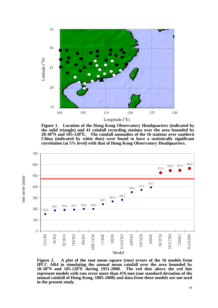

**Figure 1. Location of the Hong Kong Observatory Headquarters (indicated by the solid triangle) and 41 rainfall recording stations over the area bounded by 20-30<sup>o</sup> N and 105-120<sup>o</sup> E. The rainfall anomalies of the 16 stations over southern China (indicated by white dots) were found to have a statistically significant correlation (at 5% level) with that of Hong Kong Observatory Headquarters.** 



**Figure 2. A plot of the root mean square (rms) errors of the 16 models from IPCC AR4 in simulating the annual mean rainfall over the area bounded by 20-30<sup>o</sup> N and 105-120<sup>o</sup> E during 1951-2000. The red dots above the red line represent models with rms error more than 476 mm (one standard deviation of the annual rainfall of Hong Kong, 1885-2008) and data from these models are not used in the present study.**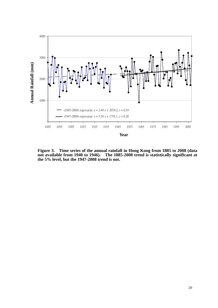

**Figure 3. Time series of the annual rainfall in Hong Kong from 1885 to 2008 (data not available from 1940 to 1946). The 1885-2008 trend is statistically significant at the 5% level, but the 1947-2008 trend is not.**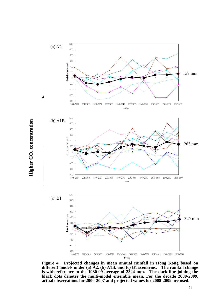

**Figure 4. Projected changes in mean annual rainfall in Hong Kong based on different models under (a) A2, (b) A1B, and (c) B1 scenarios. The rainfall change is with reference to the 1980-99 average of 2324 mm. The dark line joining the black dots denotes the multi-model ensemble mean. For the decade 2000-2009, actual observations for 2000-2007 and projected values for 2008-2009 are used.**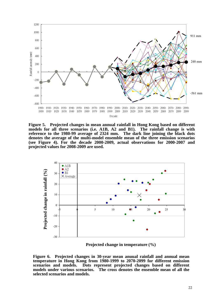

**Figure 5. Projected changes in mean annual rainfall in Hong Kong based on different models for all three scenarios (i.e. A1B, A2 and B1). The rainfall change is with reference to the 1980-99 average of 2324 mm. The dark line joining the black dots denotes the average of the multi-model ensemble mean of the three emission scenarios (see Figure 4). For the decade 2000-2009, actual observations for 2000-2007 and projected values for 2008-2009 are used.** 



**Projected change in temperature (%)** 

**Figure 6. Projected changes in 30-year mean anuual rainfall and annual mean temperature in Hong Kong from 1980-1999 to 2070-2099 for different emission scenarios and models. Dots represent projected changes based on different models under various scenarios. The cross denotes the ensemble mean of all the selected scenarios and models.**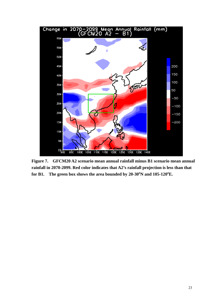

**Figure 7. GFCM20 A2 scenario mean annual rainfall minus B1 scenario mean annual rainfall in 2070-2099. Red color indicates that A2's rainfall projection is less than that**  for B1. The green box shows the area bounded by 20-30<sup>o</sup>N and 105-120<sup>o</sup>E.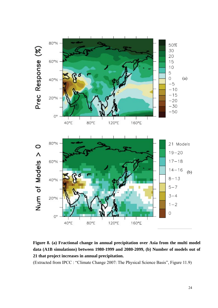

**Figure 8. (a) Fractional change in annual precipitation over Asia from the multi model data (A1B simulations) between 1980-1999 and 2080-2099, (b) Number of models out of 21 that project increases in annual precipitation.** 

(Extracted from IPCC : "Climate Change 2007: The Physical Science Basis", Figure 11.9)